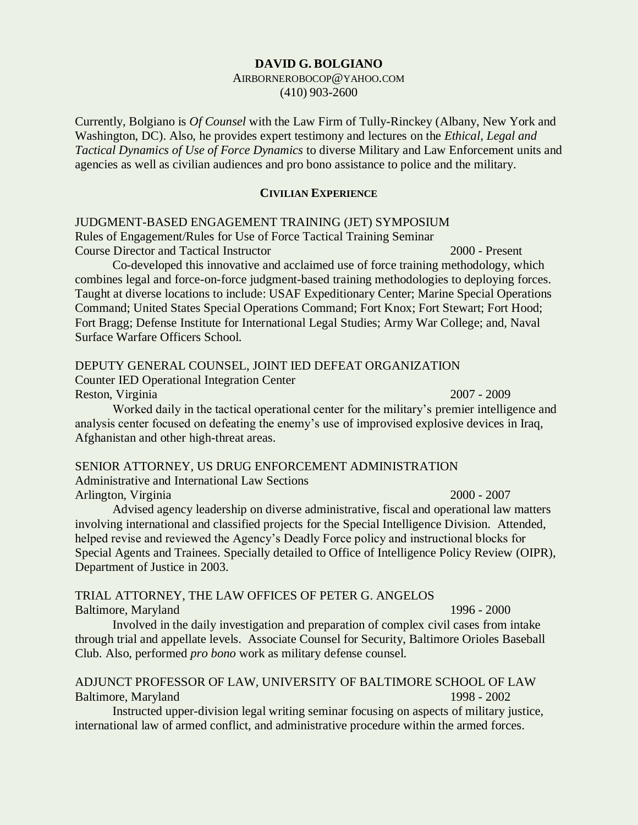#### **DAVID G. BOLGIANO**

#### AIRBORNEROBOCOP@YAHOO.COM (410) 903-2600

Currently, Bolgiano is *Of Counsel* with the Law Firm of Tully-Rinckey (Albany, New York and Washington, DC). Also, he provides expert testimony and lectures on the *Ethical, Legal and Tactical Dynamics of Use of Force Dynamics* to diverse Military and Law Enforcement units and agencies as well as civilian audiences and pro bono assistance to police and the military.

#### **CIVILIAN EXPERIENCE**

JUDGMENT-BASED ENGAGEMENT TRAINING (JET) SYMPOSIUM

Rules of Engagement/Rules for Use of Force Tactical Training Seminar Course Director and Tactical Instructor 2000 - Present

Co-developed this innovative and acclaimed use of force training methodology, which combines legal and force-on-force judgment-based training methodologies to deploying forces. Taught at diverse locations to include: USAF Expeditionary Center; Marine Special Operations Command; United States Special Operations Command; Fort Knox; Fort Stewart; Fort Hood; Fort Bragg; Defense Institute for International Legal Studies; Army War College; and, Naval Surface Warfare Officers School.

#### DEPUTY GENERAL COUNSEL, JOINT IED DEFEAT ORGANIZATION

Counter IED Operational Integration Center Reston, Virginia 2007 - 2009 **2007 - Presential Australia** 

Worked daily in the tactical operational center for the military's premier intelligence and analysis center focused on defeating the enemy's use of improvised explosive devices in Iraq, Afghanistan and other high-threat areas.

## SENIOR ATTORNEY, US DRUG ENFORCEMENT ADMINISTRATION

Administrative and International Law Sections Arlington, Virginia 2000 - 2007

Advised agency leadership on diverse administrative, fiscal and operational law matters involving international and classified projects for the Special Intelligence Division. Attended, helped revise and reviewed the Agency's Deadly Force policy and instructional blocks for Special Agents and Trainees. Specially detailed to Office of Intelligence Policy Review (OIPR), Department of Justice in 2003.

## TRIAL ATTORNEY, THE LAW OFFICES OF PETER G. ANGELOS Baltimore, Maryland 1996 - 2000

Involved in the daily investigation and preparation of complex civil cases from intake through trial and appellate levels. Associate Counsel for Security, Baltimore Orioles Baseball Club. Also, performed *pro bono* work as military defense counsel.

# ADJUNCT PROFESSOR OF LAW, UNIVERSITY OF BALTIMORE SCHOOL OF LAW Baltimore, Maryland 1998 - 2002

Instructed upper-division legal writing seminar focusing on aspects of military justice, international law of armed conflict, and administrative procedure within the armed forces.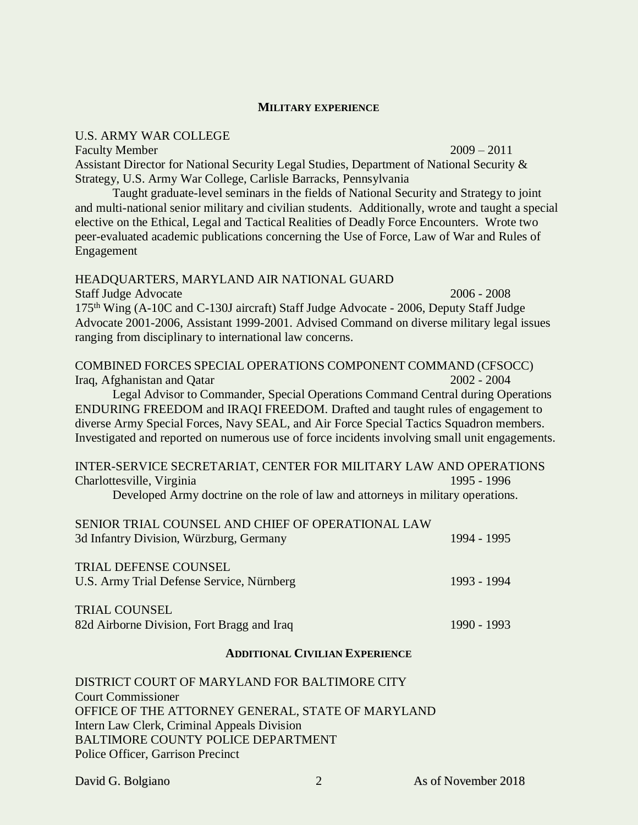#### **MILITARY EXPERIENCE**

#### U.S. ARMY WAR COLLEGE

Faculty Member 2009 – 2011 Assistant Director for National Security Legal Studies, Department of National Security & Strategy, U.S. Army War College, Carlisle Barracks, Pennsylvania

Taught graduate-level seminars in the fields of National Security and Strategy to joint and multi-national senior military and civilian students. Additionally, wrote and taught a special elective on the Ethical, Legal and Tactical Realities of Deadly Force Encounters. Wrote two peer-evaluated academic publications concerning the Use of Force, Law of War and Rules of Engagement

#### HEADQUARTERS, MARYLAND AIR NATIONAL GUARD

Staff Judge Advocate 2006 - 2008 175<sup>th</sup> Wing (A-10C and C-130J aircraft) Staff Judge Advocate - 2006, Deputy Staff Judge Advocate 2001-2006, Assistant 1999-2001. Advised Command on diverse military legal issues ranging from disciplinary to international law concerns.

COMBINED FORCES SPECIAL OPERATIONS COMPONENT COMMAND (CFSOCC) Iraq, Afghanistan and Qatar 2002 - 2004

Legal Advisor to Commander, Special Operations Command Central during Operations ENDURING FREEDOM and IRAQI FREEDOM. Drafted and taught rules of engagement to diverse Army Special Forces, Navy SEAL, and Air Force Special Tactics Squadron members. Investigated and reported on numerous use of force incidents involving small unit engagements.

INTER-SERVICE SECRETARIAT, CENTER FOR MILITARY LAW AND OPERATIONS Charlottesville, Virginia 1995 - 1996

Developed Army doctrine on the role of law and attorneys in military operations.

| SENIOR TRIAL COUNSEL AND CHIEF OF OPERATIONAL LAW<br>3d Infantry Division, Würzburg, Germany | 1994 - 1995 |
|----------------------------------------------------------------------------------------------|-------------|
| <b>TRIAL DEFENSE COUNSEL</b><br>U.S. Army Trial Defense Service, Nürnberg                    | 1993 - 1994 |
| <b>TRIAL COUNSEL</b><br>82d Airborne Division, Fort Bragg and Iraq                           | 1990 - 1993 |

### **ADDITIONAL CIVILIAN EXPERIENCE**

DISTRICT COURT OF MARYLAND FOR BALTIMORE CITY Court Commissioner OFFICE OF THE ATTORNEY GENERAL, STATE OF MARYLAND Intern Law Clerk, Criminal Appeals Division BALTIMORE COUNTY POLICE DEPARTMENT Police Officer, Garrison Precinct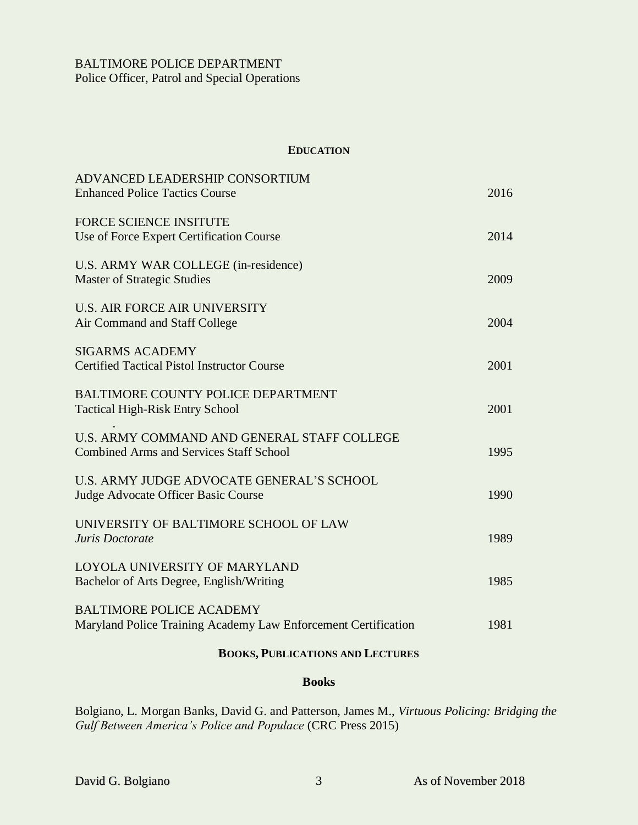## **EDUCATION**

| ADVANCED LEADERSHIP CONSORTIUM<br><b>Enhanced Police Tactics Course</b>                           | 2016 |
|---------------------------------------------------------------------------------------------------|------|
| <b>FORCE SCIENCE INSITUTE</b><br>Use of Force Expert Certification Course                         | 2014 |
| U.S. ARMY WAR COLLEGE (in-residence)<br><b>Master of Strategic Studies</b>                        | 2009 |
| <b>U.S. AIR FORCE AIR UNIVERSITY</b><br>Air Command and Staff College                             | 2004 |
| <b>SIGARMS ACADEMY</b><br><b>Certified Tactical Pistol Instructor Course</b>                      | 2001 |
| <b>BALTIMORE COUNTY POLICE DEPARTMENT</b><br><b>Tactical High-Risk Entry School</b>               | 2001 |
| U.S. ARMY COMMAND AND GENERAL STAFF COLLEGE<br><b>Combined Arms and Services Staff School</b>     | 1995 |
| U.S. ARMY JUDGE ADVOCATE GENERAL'S SCHOOL<br>Judge Advocate Officer Basic Course                  | 1990 |
| UNIVERSITY OF BALTIMORE SCHOOL OF LAW<br>Juris Doctorate                                          | 1989 |
| LOYOLA UNIVERSITY OF MARYLAND<br>Bachelor of Arts Degree, English/Writing                         | 1985 |
| <b>BALTIMORE POLICE ACADEMY</b><br>Maryland Police Training Academy Law Enforcement Certification | 1981 |
|                                                                                                   |      |

# **BOOKS, PUBLICATIONS AND LECTURES**

### **Books**

Bolgiano, L. Morgan Banks, David G. and Patterson, James M., *Virtuous Policing: Bridging the Gulf Between America's Police and Populace* (CRC Press 2015)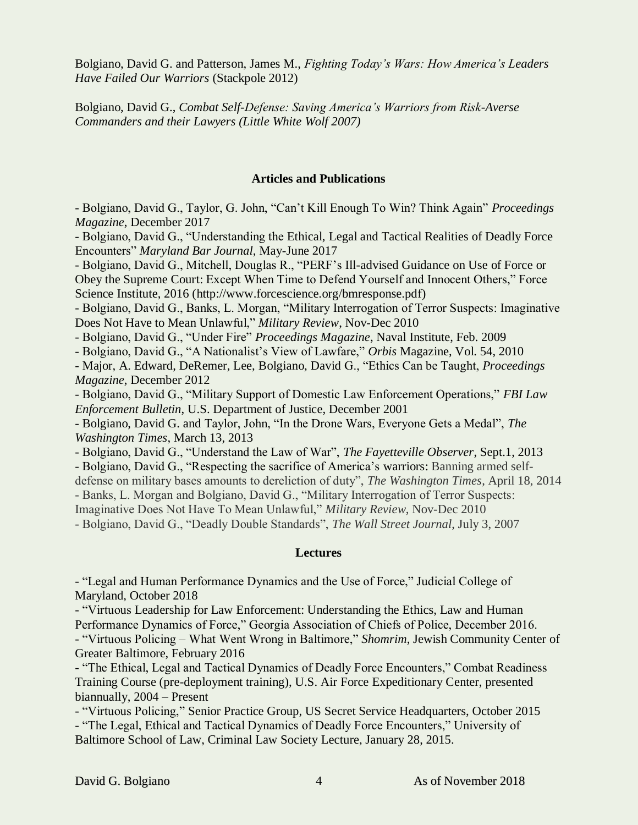Bolgiano, David G. and Patterson, James M., *Fighting Today's Wars: How America's Leaders Have Failed Our Warriors* (Stackpole 2012)

Bolgiano, David G., *Combat Self-Defense: Saving America's Warriors from Risk-Averse Commanders and their Lawyers (Little White Wolf 2007)*

### **Articles and Publications**

- Bolgiano, David G., Taylor, G. John, "Can't Kill Enough To Win? Think Again" *Proceedings Magazine*, December 2017

- Bolgiano, David G., "Understanding the Ethical, Legal and Tactical Realities of Deadly Force Encounters" *Maryland Bar Journal*, May-June 2017

- Bolgiano, David G., Mitchell, Douglas R., "PERF's Ill-advised Guidance on Use of Force or Obey the Supreme Court: Except When Time to Defend Yourself and Innocent Others," Force Science Institute, 2016 (http://www.forcescience.org/bmresponse.pdf)

- Bolgiano, David G., Banks, L. Morgan, "Military Interrogation of Terror Suspects: Imaginative Does Not Have to Mean Unlawful," *Military Review*, Nov-Dec 2010

- Bolgiano, David G., "Under Fire" *Proceedings Magazine*, Naval Institute, Feb. 2009

- Bolgiano, David G., "A Nationalist's View of Lawfare," *Orbis* Magazine, Vol. 54, 2010

- Major, A. Edward, DeRemer, Lee, Bolgiano, David G., "Ethics Can be Taught, *Proceedings Magazine*, December 2012

- Bolgiano, David G., "Military Support of Domestic Law Enforcement Operations," *FBI Law Enforcement Bulletin*, U.S. Department of Justice, December 2001

- Bolgiano, David G. and Taylor, John, "In the Drone Wars, Everyone Gets a Medal", *The Washington Times*, March 13, 2013

- Bolgiano, David G., "Understand the Law of War", *The Fayetteville Observer*, Sept.1, 2013

- Bolgiano, David G., "Respecting the sacrifice of America's warriors: Banning armed self-

defense on military bases amounts to dereliction of duty", *The Washington Times*, April 18, 2014

- Banks, L. Morgan and Bolgiano, David G., "Military Interrogation of Terror Suspects:

Imaginative Does Not Have To Mean Unlawful," *Military Review*, Nov-Dec 2010

- Bolgiano, David G., "Deadly Double Standards", *The Wall Street Journal*, July 3, 2007

## **Lectures**

- "Legal and Human Performance Dynamics and the Use of Force," Judicial College of Maryland, October 2018

- "Virtuous Leadership for Law Enforcement: Understanding the Ethics, Law and Human Performance Dynamics of Force," Georgia Association of Chiefs of Police, December 2016. - "Virtuous Policing – What Went Wrong in Baltimore," *Shomrim*, Jewish Community Center of Greater Baltimore, February 2016

- "The Ethical, Legal and Tactical Dynamics of Deadly Force Encounters," Combat Readiness Training Course (pre-deployment training), U.S. Air Force Expeditionary Center, presented biannually, 2004 – Present

- "Virtuous Policing," Senior Practice Group, US Secret Service Headquarters, October 2015 - "The Legal, Ethical and Tactical Dynamics of Deadly Force Encounters," University of Baltimore School of Law, Criminal Law Society Lecture, January 28, 2015.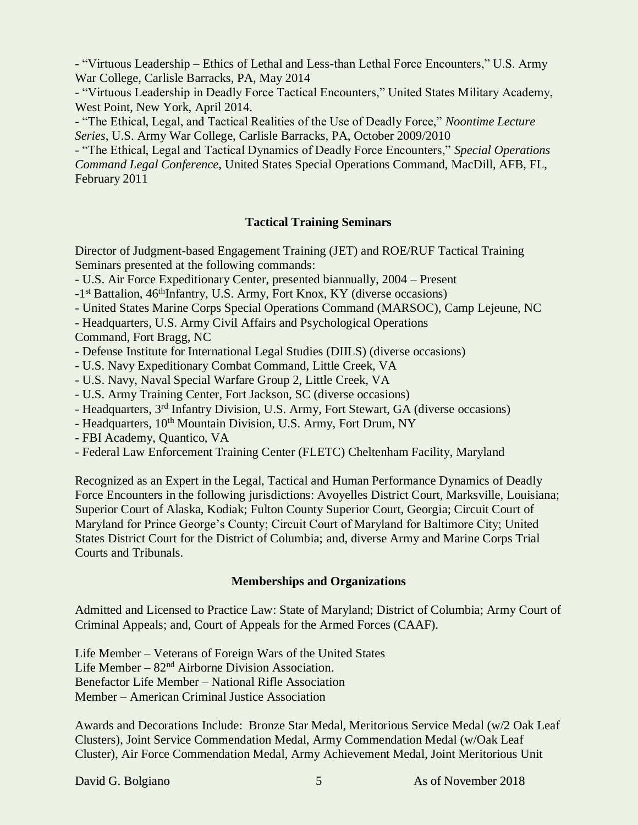- "Virtuous Leadership – Ethics of Lethal and Less-than Lethal Force Encounters," U.S. Army War College, Carlisle Barracks, PA, May 2014

- "Virtuous Leadership in Deadly Force Tactical Encounters," United States Military Academy, West Point, New York, April 2014.

- "The Ethical, Legal, and Tactical Realities of the Use of Deadly Force," *Noontime Lecture Series*, U.S. Army War College, Carlisle Barracks, PA, October 2009/2010

- "The Ethical, Legal and Tactical Dynamics of Deadly Force Encounters," *Special Operations Command Legal Conference*, United States Special Operations Command, MacDill, AFB, FL, February 2011

# **Tactical Training Seminars**

Director of Judgment-based Engagement Training (JET) and ROE/RUF Tactical Training Seminars presented at the following commands:

- U.S. Air Force Expeditionary Center, presented biannually, 2004 – Present

-1<sup>st</sup> Battalion, 46<sup>th</sup>Infantry, U.S. Army, Fort Knox, KY (diverse occasions)

- United States Marine Corps Special Operations Command (MARSOC), Camp Lejeune, NC
- Headquarters, U.S. Army Civil Affairs and Psychological Operations

Command, Fort Bragg, NC

- Defense Institute for International Legal Studies (DIILS) (diverse occasions)

- U.S. Navy Expeditionary Combat Command, Little Creek, VA
- U.S. Navy, Naval Special Warfare Group 2, Little Creek, VA
- U.S. Army Training Center, Fort Jackson, SC (diverse occasions)
- Headquarters, 3rd Infantry Division, U.S. Army, Fort Stewart, GA (diverse occasions)
- Headquarters, 10<sup>th</sup> Mountain Division, U.S. Army, Fort Drum, NY
- FBI Academy, Quantico, VA
- Federal Law Enforcement Training Center (FLETC) Cheltenham Facility, Maryland

Recognized as an Expert in the Legal, Tactical and Human Performance Dynamics of Deadly Force Encounters in the following jurisdictions: Avoyelles District Court, Marksville, Louisiana; Superior Court of Alaska, Kodiak; Fulton County Superior Court, Georgia; Circuit Court of Maryland for Prince George's County; Circuit Court of Maryland for Baltimore City; United States District Court for the District of Columbia; and, diverse Army and Marine Corps Trial Courts and Tribunals.

# **Memberships and Organizations**

Admitted and Licensed to Practice Law: State of Maryland; District of Columbia; Army Court of Criminal Appeals; and, Court of Appeals for the Armed Forces (CAAF).

Life Member – Veterans of Foreign Wars of the United States Life Member –  $82<sup>nd</sup>$  Airborne Division Association. Benefactor Life Member – National Rifle Association Member – American Criminal Justice Association

Awards and Decorations Include: Bronze Star Medal, Meritorious Service Medal (w/2 Oak Leaf Clusters), Joint Service Commendation Medal, Army Commendation Medal (w/Oak Leaf Cluster), Air Force Commendation Medal, Army Achievement Medal, Joint Meritorious Unit